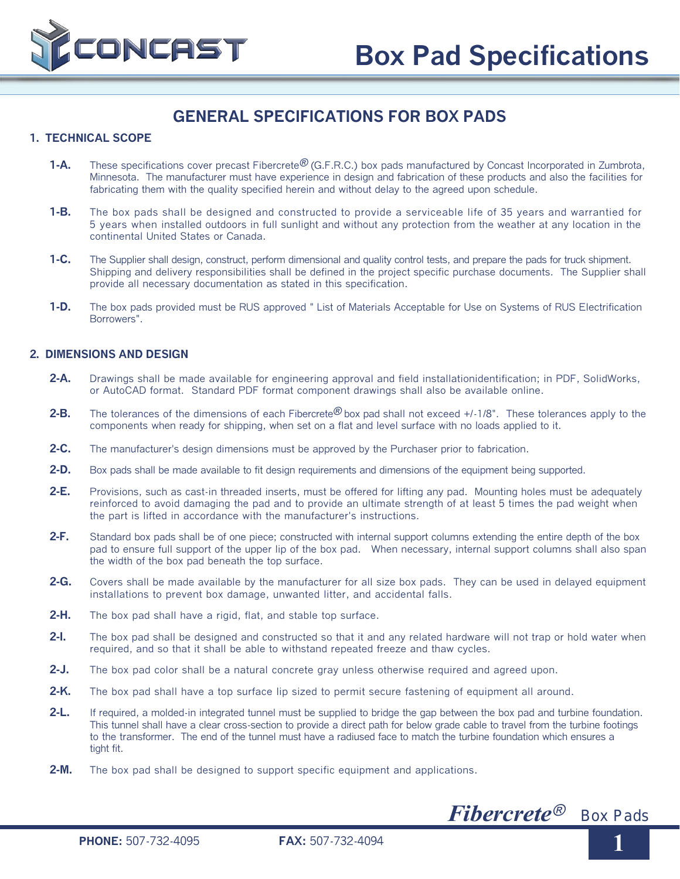

# **GENERAL SPECIFICATIONS FOR BOX PADS**

## **1. TECHNICAL SCOPE**

- 1-A. These specifications cover precast Fibercrete<sup>®</sup> (G.F.R.C.) box pads manufactured by Concast Incorporated in Zumbrota, Minnesota. The manufacturer must have experience in design and fabrication of these products and also the facilities for fabricating them with the quality specified herein and without delay to the agreed upon schedule.
- **1-B.** The box pads shall be designed and constructed to provide a serviceable life of 35 years and warrantied for 5 years when installed outdoors in full sunlight and without any protection from the weather at any location in the continental United States or Canada.
- **1-C.** The Supplier shall design, construct, perform dimensional and quality control tests, and prepare the pads for truck shipment. Shipping and delivery responsibilities shall be defined in the project specific purchase documents. The Supplier shall provide all necessary documentation as stated in this specification.
- **1-D.** The box pads provided must be RUS approved " List of Materials Acceptable for Use on Systems of RUS Electrification Borrowers".

# **2. DIMENSIONS AND DESIGN**

- **2-A.** Drawings shall be made available for engineering approval and field installationidentification; in PDF, SolidWorks, or AutoCAD format. Standard PDF format component drawings shall also be available online.
- **2-B.** The tolerances of the dimensions of each Fibercrete® box pad shall not exceed +/-1/8". These tolerances apply to the components when ready for shipping, when set on a flat and level surface with no loads applied to it.
- **2-C.** The manufacturer's design dimensions must be approved by the Purchaser prior to fabrication.
- **2-D.** Box pads shall be made available to fit design requirements and dimensions of the equipment being supported.
- **2-E.** Provisions, such as cast-in threaded inserts, must be offered for lifting any pad. Mounting holes must be adequately reinforced to avoid damaging the pad and to provide an ultimate strength of at least 5 times the pad weight when the part is lifted in accordance with the manufacturer's instructions.
- **2-F.** Standard box pads shall be of one piece; constructed with internal support columns extending the entire depth of the box pad to ensure full support of the upper lip of the box pad. When necessary, internal support columns shall also span the width of the box pad beneath the top surface.
- **2-G.** Covers shall be made available by the manufacturer for all size box pads. They can be used in delayed equipment installations to prevent box damage, unwanted litter, and accidental falls.
- 2-H. The box pad shall have a rigid, flat, and stable top surface.
- **2-I.** The box pad shall be designed and constructed so that it and any related hardware will not trap or hold water when required, and so that it shall be able to withstand repeated freeze and thaw cycles.
- **2-J.** The box pad color shall be a natural concrete gray unless otherwise required and agreed upon.
- **2-K.** The box pad shall have a top surface lip sized to permit secure fastening of equipment all around.
- **2-L.** If required, a molded-in integrated tunnel must be supplied to bridge the gap between the box pad and turbine foundation. This tunnel shall have a clear cross-section to provide a direct path for below grade cable to travel from the turbine footings to the transformer. The end of the tunnel must have a radiused face to match the turbine foundation which ensures a tight fit.
- **2-M.** The box pad shall be designed to support specific equipment and applications.



**1**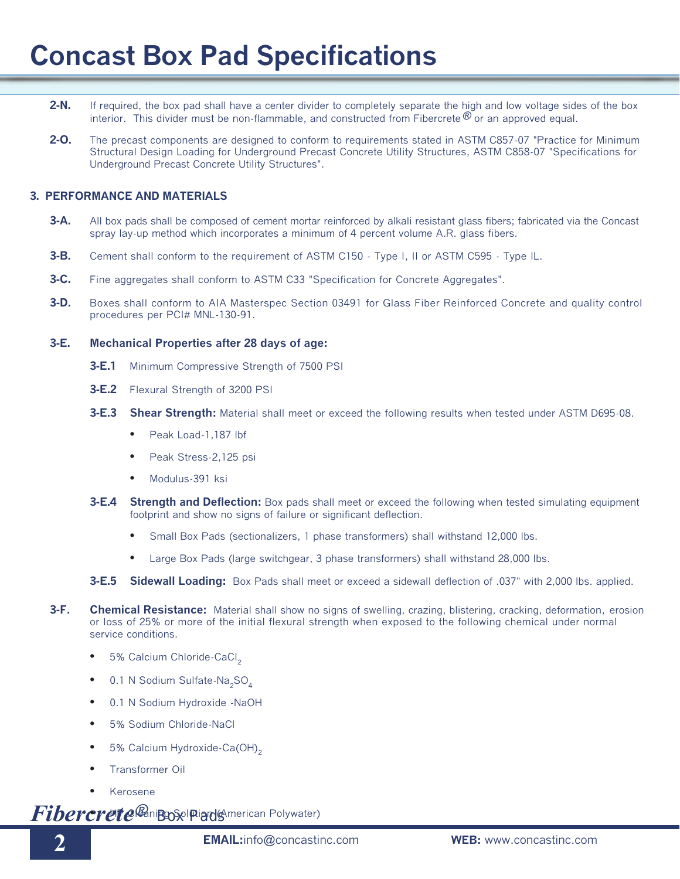# **Concast Box Pad Specifications**

- **2-N.** If required, the box pad shall have a center divider to completely separate the high and low voltage sides of the box interior. This divider must be non-flammable, and constructed from Fibercrete  $\mathcal{O}_0$  or an approved equal.
- **2-O.** The precast components are designed to conform to requirements stated in ASTM C857-07 "Practice for Minimum Structural Design Loading for Underground Precast Concrete Utility Structures, ASTM C858-07 "Specifications for Underground Precast Concrete Utility Structures".

# **3. PERFORMANCE AND MATERIALS**

- **3-A.** All box pads shall be composed of cement mortar reinforced by alkali resistant glass fibers; fabricated via the Concast spray lay-up method which incorporates a minimum of 4 percent volume A.R. glass fibers.
- **3-B.** Cement shall conform to the requirement of ASTM C150 Type I, II or ASTM C595 Type IL.
- **3-C.** Fine aggregates shall conform to ASTM C33 "Specification for Concrete Aggregates".
- **3-D.** Boxes shall conform to AIA Masterspec Section 03491 for Glass Fiber Reinforced Concrete and quality control procedures per PCI# MNL-130-91.

### **3-E. Mechanical Properties after 28 days of age:**

- **3-E.1** Minimum Compressive Strength of 7500 PSI
- **3-E.2** Flexural Strength of 3200 PSI
- **3-E.3 Shear Strength:** Material shall meet or exceed the following results when tested under ASTM D695-08.
	- Peak Load-1,187 lbf
	- Peak Stress-2,125 psi
	- Modulus-391 ksi
- **3-E.4 Strength and Deflection:** Box pads shall meet or exceed the following when tested simulating equipment footprint and show no signs of failure or significant deflection.
	- Small Box Pads (sectionalizers, 1 phase transformers) shall withstand 12,000 lbs.
	- Large Box Pads (large switchgear, 3 phase transformers) shall withstand 28,000 lbs.
- **3-E.5 Sidewall Loading:** Box Pads shall meet or exceed a sidewall deflection of .037" with 2,000 lbs. applied.
- **3-F. Chemical Resistance:** Material shall show no signs of swelling, crazing, blistering, cracking, deformation, erosion or loss of 25% or more of the initial flexural strength when exposed to the following chemical under normal service conditions.
	- 5% Calcium Chloride-CaCl<sub>2</sub>
	- 0.1 N Sodium Sulfate-Na<sub>2</sub>SO<sub>4</sub>
	- 0.1 N Sodium Hydroxide -NaOH
	- 5% Sodium Chloride-NaCl
	- 5% Calcium Hydroxide-Ca(OH)<sub>2</sub>
	- Transformer Oil
	- Kerosene

**Fibercrete**® nip DSpl Pignol (American Polywater)